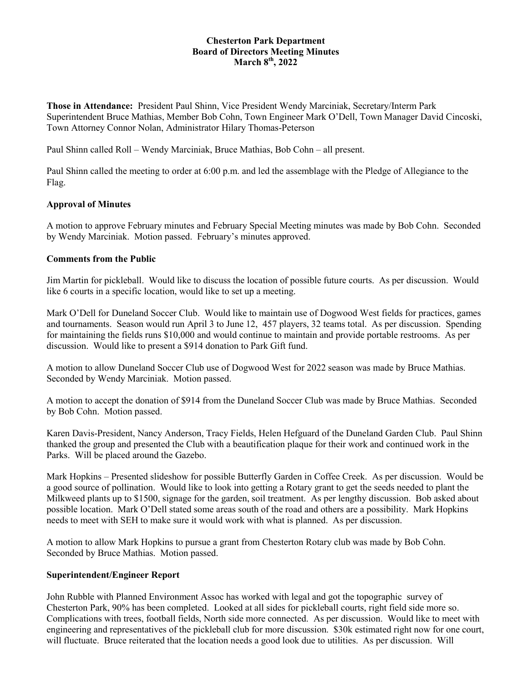#### **Chesterton Park Department Board of Directors Meeting Minutes March 8 th , 2022**

**Those in Attendance:** President Paul Shinn, Vice President Wendy Marciniak, Secretary/Interm Park Superintendent Bruce Mathias, Member Bob Cohn, Town Engineer Mark O'Dell, Town Manager David Cincoski, Town Attorney Connor Nolan, Administrator Hilary Thomas-Peterson

Paul Shinn called Roll – Wendy Marciniak, Bruce Mathias, Bob Cohn – all present.

Paul Shinn called the meeting to order at 6:00 p.m. and led the assemblage with the Pledge of Allegiance to the Flag.

# **Approval of Minutes**

A motion to approve February minutes and February Special Meeting minutes was made by Bob Cohn. Seconded by Wendy Marciniak. Motion passed. February's minutes approved.

# **Comments from the Public**

Jim Martin for pickleball. Would like to discuss the location of possible future courts. As per discussion. Would like 6 courts in a specific location, would like to set up a meeting.

Mark O'Dell for Duneland Soccer Club. Would like to maintain use of Dogwood West fields for practices, games and tournaments. Season would run April 3 to June 12, 457 players, 32 teams total. As per discussion. Spending for maintaining the fields runs \$10,000 and would continue to maintain and provide portable restrooms. As per discussion. Would like to present a \$914 donation to Park Gift fund.

A motion to allow Duneland Soccer Club use of Dogwood West for 2022 season was made by Bruce Mathias. Seconded by Wendy Marciniak. Motion passed.

A motion to accept the donation of \$914 from the Duneland Soccer Club was made by Bruce Mathias. Seconded by Bob Cohn. Motion passed.

Karen Davis-President, Nancy Anderson, Tracy Fields, Helen Hefguard of the Duneland Garden Club. Paul Shinn thanked the group and presented the Club with a beautification plaque for their work and continued work in the Parks. Will be placed around the Gazebo.

Mark Hopkins – Presented slideshow for possible Butterfly Garden in Coffee Creek. As per discussion. Would be a good source of pollination. Would like to look into getting a Rotary grant to get the seeds needed to plant the Milkweed plants up to \$1500, signage for the garden, soil treatment. As per lengthy discussion. Bob asked about possible location. Mark O'Dell stated some areas south of the road and others are a possibility. Mark Hopkins needs to meet with SEH to make sure it would work with what is planned. As per discussion.

A motion to allow Mark Hopkins to pursue a grant from Chesterton Rotary club was made by Bob Cohn. Seconded by Bruce Mathias. Motion passed.

#### **Superintendent/Engineer Report**

John Rubble with Planned Environment Assoc has worked with legal and got the topographic survey of Chesterton Park, 90% has been completed. Looked at all sides for pickleball courts, right field side more so. Complications with trees, football fields, North side more connected. As per discussion. Would like to meet with engineering and representatives of the pickleball club for more discussion. \$30k estimated right now for one court, will fluctuate. Bruce reiterated that the location needs a good look due to utilities. As per discussion. Will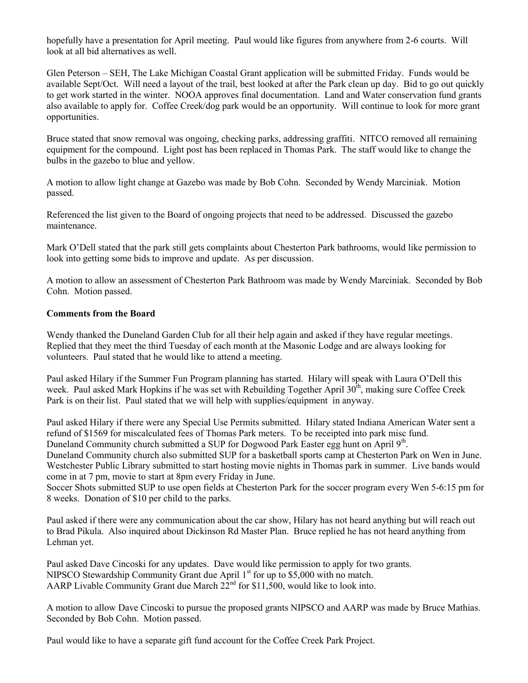hopefully have a presentation for April meeting. Paul would like figures from anywhere from 2-6 courts. Will look at all bid alternatives as well.

Glen Peterson – SEH, The Lake Michigan Coastal Grant application will be submitted Friday. Funds would be available Sept/Oct. Will need a layout of the trail, best looked at after the Park clean up day. Bid to go out quickly to get work started in the winter. NOOA approves final documentation. Land and Water conservation fund grants also available to apply for. Coffee Creek/dog park would be an opportunity. Will continue to look for more grant opportunities.

Bruce stated that snow removal was ongoing, checking parks, addressing graffiti. NITCO removed all remaining equipment for the compound. Light post has been replaced in Thomas Park. The staff would like to change the bulbs in the gazebo to blue and yellow.

A motion to allow light change at Gazebo was made by Bob Cohn. Seconded by Wendy Marciniak. Motion passed.

Referenced the list given to the Board of ongoing projects that need to be addressed. Discussed the gazebo maintenance.

Mark O'Dell stated that the park still gets complaints about Chesterton Park bathrooms, would like permission to look into getting some bids to improve and update. As per discussion.

A motion to allow an assessment of Chesterton Park Bathroom was made by Wendy Marciniak. Seconded by Bob Cohn. Motion passed.

# **Comments from the Board**

Wendy thanked the Duneland Garden Club for all their help again and asked if they have regular meetings. Replied that they meet the third Tuesday of each month at the Masonic Lodge and are always looking for volunteers. Paul stated that he would like to attend a meeting.

Paul asked Hilary if the Summer Fun Program planning has started. Hilary will speak with Laura O'Dell this week. Paul asked Mark Hopkins if he was set with Rebuilding Together April  $30<sup>th</sup>$ , making sure Coffee Creek Park is on their list. Paul stated that we will help with supplies/equipment in anyway.

Paul asked Hilary if there were any Special Use Permits submitted. Hilary stated Indiana American Water sent a refund of \$1569 for miscalculated fees of Thomas Park meters. To be receipted into park misc fund. Duneland Community church submitted a SUP for Dogwood Park Easter egg hunt on April 9<sup>th</sup>.

Duneland Community church also submitted SUP for a basketball sports camp at Chesterton Park on Wen in June. Westchester Public Library submitted to start hosting movie nights in Thomas park in summer. Live bands would come in at 7 pm, movie to start at 8pm every Friday in June.

Soccer Shots submitted SUP to use open fields at Chesterton Park for the soccer program every Wen 5-6:15 pm for 8 weeks. Donation of \$10 per child to the parks.

Paul asked if there were any communication about the car show, Hilary has not heard anything but will reach out to Brad Pikula. Also inquired about Dickinson Rd Master Plan. Bruce replied he has not heard anything from Lehman yet.

Paul asked Dave Cincoski for any updates. Dave would like permission to apply for two grants. NIPSCO Stewardship Community Grant due April  $1<sup>st</sup>$  for up to \$5,000 with no match. AARP Livable Community Grant due March  $22<sup>nd</sup>$  for \$11,500, would like to look into.

A motion to allow Dave Cincoski to pursue the proposed grants NIPSCO and AARP was made by Bruce Mathias. Seconded by Bob Cohn. Motion passed.

Paul would like to have a separate gift fund account for the Coffee Creek Park Project.